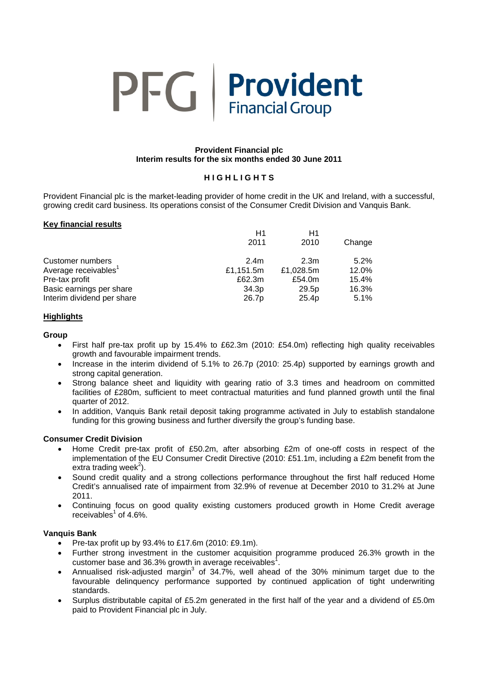# PFG | Provident

# **Provident Financial plc Interim results for the six months ended 30 June 2011**

# **H I G H L I G H T S**

Provident Financial plc is the market-leading provider of home credit in the UK and Ireland, with a successful, growing credit card business. Its operations consist of the Consumer Credit Division and Vanquis Bank.

# **Key financial results**

|                                  | H1        | H1               |        |
|----------------------------------|-----------|------------------|--------|
|                                  | 2011      | 2010             | Change |
| Customer numbers                 | 2.4m      | 2.3 <sub>m</sub> | 5.2%   |
| Average receivables <sup>1</sup> | £1,151.5m | £1,028.5m        | 12.0%  |
| Pre-tax profit                   | £62.3m    | £54.0m           | 15.4%  |
| Basic earnings per share         | 34.3p     | 29.5p            | 16.3%  |
| Interim dividend per share       | 26.7p     | 25.4p            | 5.1%   |

# **Highlights**

- **Group** 
	- First half pre-tax profit up by 15.4% to £62.3m (2010: £54.0m) reflecting high quality receivables growth and favourable impairment trends.
	- Increase in the interim dividend of 5.1% to 26.7p (2010: 25.4p) supported by earnings growth and strong capital generation.
	- Strong balance sheet and liquidity with gearing ratio of 3.3 times and headroom on committed facilities of £280m, sufficient to meet contractual maturities and fund planned growth until the final quarter of 2012.
	- In addition, Vanquis Bank retail deposit taking programme activated in July to establish standalone funding for this growing business and further diversify the group's funding base.

# **Consumer Credit Division**

- Home Credit pre-tax profit of £50.2m, after absorbing £2m of one-off costs in respect of the implementation of the EU Consumer Credit Directive (2010: £51.1m, including a £2m benefit from the  $ext{r}$ a trading week<sup>2</sup>).
- Sound credit quality and a strong collections performance throughout the first half reduced Home Credit's annualised rate of impairment from 32.9% of revenue at December 2010 to 31.2% at June 2011.
- Continuing focus on good quality existing customers produced growth in Home Credit average receivables $1$  of 4.6%.

## **Vanquis Bank**

- Pre-tax profit up by 93.4% to £17.6m (2010: £9.1m).
- Further strong investment in the customer acquisition programme produced 26.3% growth in the customer base and 36.3% growth in average receivables<sup>1</sup>.
- Annualised risk-adjusted margin<sup>3</sup> of 34.7%, well ahead of the 30% minimum target due to the favourable delinquency performance supported by continued application of tight underwriting standards.
- Surplus distributable capital of £5.2m generated in the first half of the year and a dividend of £5.0m paid to Provident Financial plc in July.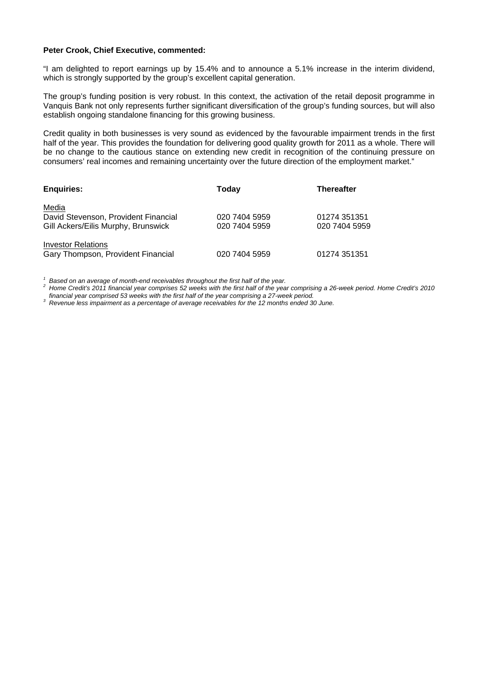## **Peter Crook, Chief Executive, commented:**

"I am delighted to report earnings up by 15.4% and to announce a 5.1% increase in the interim dividend, which is strongly supported by the group's excellent capital generation.

The group's funding position is very robust. In this context, the activation of the retail deposit programme in Vanquis Bank not only represents further significant diversification of the group's funding sources, but will also establish ongoing standalone financing for this growing business.

Credit quality in both businesses is very sound as evidenced by the favourable impairment trends in the first half of the year. This provides the foundation for delivering good quality growth for 2011 as a whole. There will be no change to the cautious stance on extending new credit in recognition of the continuing pressure on consumers' real incomes and remaining uncertainty over the future direction of the employment market."

| <b>Enquiries:</b>                                                                    | Today                          | <b>Thereafter</b>             |
|--------------------------------------------------------------------------------------|--------------------------------|-------------------------------|
| Media<br>David Stevenson, Provident Financial<br>Gill Ackers/Eilis Murphy, Brunswick | 020 7404 5959<br>020 7404 5959 | 01274 351351<br>020 7404 5959 |
| <b>Investor Relations</b><br>Gary Thompson, Provident Financial                      | 020 7404 5959                  | 01274 351351                  |

<sup>1</sup> Based on an average of month-end receivables throughout the first half of the year.

<sup>2</sup> Home Credit's 2011 financial year comprises 52 weeks with the first half of the year comprising a 26-week period. Home Credit's 2010

*financial year comprised 53 weeks with the first half of the year comprising a 27-week period. 3 Revenue less impairment as a percentage of average receivables for the 12 months ended 30 June.*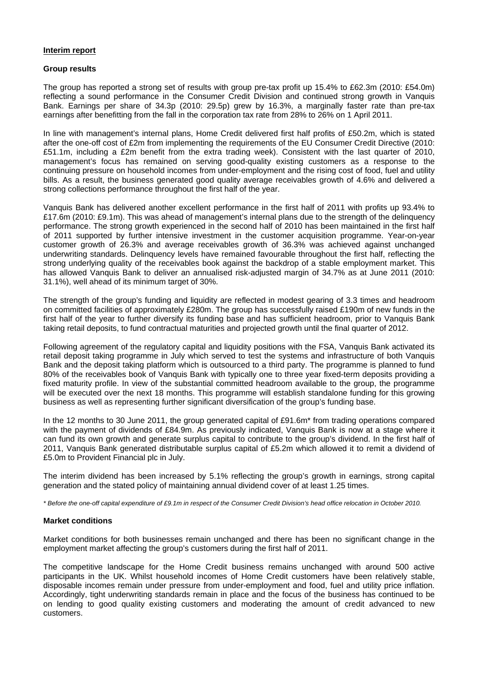## **Interim report**

## **Group results**

The group has reported a strong set of results with group pre-tax profit up 15.4% to £62.3m (2010: £54.0m) reflecting a sound performance in the Consumer Credit Division and continued strong growth in Vanquis Bank. Earnings per share of 34.3p (2010: 29.5p) grew by 16.3%, a marginally faster rate than pre-tax earnings after benefitting from the fall in the corporation tax rate from 28% to 26% on 1 April 2011.

In line with management's internal plans, Home Credit delivered first half profits of £50.2m, which is stated after the one-off cost of £2m from implementing the requirements of the EU Consumer Credit Directive (2010: £51.1m, including a £2m benefit from the extra trading week). Consistent with the last quarter of 2010, management's focus has remained on serving good-quality existing customers as a response to the continuing pressure on household incomes from under-employment and the rising cost of food, fuel and utility bills. As a result, the business generated good quality average receivables growth of 4.6% and delivered a strong collections performance throughout the first half of the year.

Vanquis Bank has delivered another excellent performance in the first half of 2011 with profits up 93.4% to £17.6m (2010: £9.1m). This was ahead of management's internal plans due to the strength of the delinquency performance. The strong growth experienced in the second half of 2010 has been maintained in the first half of 2011 supported by further intensive investment in the customer acquisition programme. Year-on-year customer growth of 26.3% and average receivables growth of 36.3% was achieved against unchanged underwriting standards. Delinquency levels have remained favourable throughout the first half, reflecting the strong underlying quality of the receivables book against the backdrop of a stable employment market. This has allowed Vanquis Bank to deliver an annualised risk-adjusted margin of 34.7% as at June 2011 (2010: 31.1%), well ahead of its minimum target of 30%.

The strength of the group's funding and liquidity are reflected in modest gearing of 3.3 times and headroom on committed facilities of approximately £280m. The group has successfully raised £190m of new funds in the first half of the year to further diversify its funding base and has sufficient headroom, prior to Vanquis Bank taking retail deposits, to fund contractual maturities and projected growth until the final quarter of 2012.

Following agreement of the regulatory capital and liquidity positions with the FSA, Vanquis Bank activated its retail deposit taking programme in July which served to test the systems and infrastructure of both Vanquis Bank and the deposit taking platform which is outsourced to a third party. The programme is planned to fund 80% of the receivables book of Vanquis Bank with typically one to three year fixed-term deposits providing a fixed maturity profile. In view of the substantial committed headroom available to the group, the programme will be executed over the next 18 months. This programme will establish standalone funding for this growing business as well as representing further significant diversification of the group's funding base.

In the 12 months to 30 June 2011, the group generated capital of £91.6m<sup>\*</sup> from trading operations compared with the payment of dividends of £84.9m. As previously indicated, Vanquis Bank is now at a stage where it can fund its own growth and generate surplus capital to contribute to the group's dividend. In the first half of 2011, Vanquis Bank generated distributable surplus capital of £5.2m which allowed it to remit a dividend of £5.0m to Provident Financial plc in July.

The interim dividend has been increased by 5.1% reflecting the group's growth in earnings, strong capital generation and the stated policy of maintaining annual dividend cover of at least 1.25 times.

*\* Before the one-off capital expenditure of £9.1m in respect of the Consumer Credit Division's head office relocation in October 2010.* 

## **Market conditions**

Market conditions for both businesses remain unchanged and there has been no significant change in the employment market affecting the group's customers during the first half of 2011.

The competitive landscape for the Home Credit business remains unchanged with around 500 active participants in the UK. Whilst household incomes of Home Credit customers have been relatively stable, disposable incomes remain under pressure from under-employment and food, fuel and utility price inflation. Accordingly, tight underwriting standards remain in place and the focus of the business has continued to be on lending to good quality existing customers and moderating the amount of credit advanced to new customers.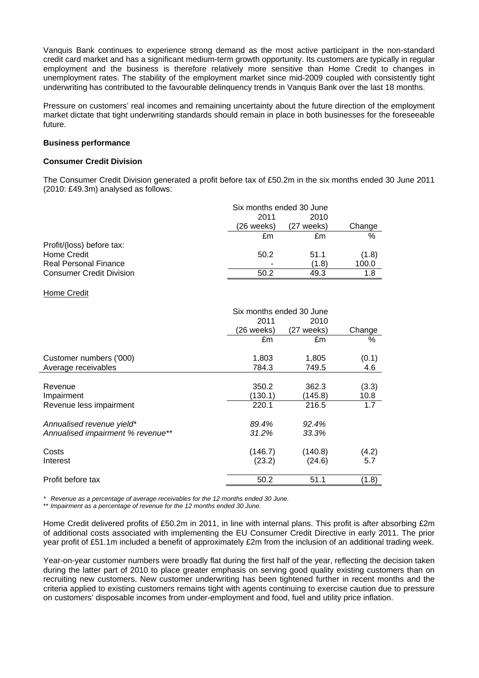Vanquis Bank continues to experience strong demand as the most active participant in the non-standard credit card market and has a significant medium-term growth opportunity. Its customers are typically in regular employment and the business is therefore relatively more sensitive than Home Credit to changes in unemployment rates. The stability of the employment market since mid-2009 coupled with consistently tight underwriting has contributed to the favourable delinquency trends in Vanquis Bank over the last 18 months.

Pressure on customers' real incomes and remaining uncertainty about the future direction of the employment market dictate that tight underwriting standards should remain in place in both businesses for the foreseeable future.

## **Business performance**

## **Consumer Credit Division**

The Consumer Credit Division generated a profit before tax of £50.2m in the six months ended 30 June 2011 (2010: £49.3m) analysed as follows:

|                                 |            | Six months ended 30 June |        |  |  |
|---------------------------------|------------|--------------------------|--------|--|--|
|                                 | 2011       | 2010                     |        |  |  |
|                                 | (26 weeks) | (27 weeks)               | Change |  |  |
|                                 | £m         | £m                       | $\%$   |  |  |
| Profit/(loss) before tax:       |            |                          |        |  |  |
| Home Credit                     | 50.2       | 51.1                     | (1.8)  |  |  |
| <b>Real Personal Finance</b>    |            | (1.8)                    | 100.0  |  |  |
| <b>Consumer Credit Division</b> | 50.2       | 49.3                     | 1.8    |  |  |
|                                 |            |                          |        |  |  |

## Home Credit

|                                   | Six months ended 30 June |            |        |
|-----------------------------------|--------------------------|------------|--------|
|                                   | 2011                     | 2010       |        |
|                                   | (26 weeks)               | (27 weeks) | Change |
|                                   | £m                       | £m         | %      |
| Customer numbers ('000)           | 1,803                    | 1,805      | (0.1)  |
| Average receivables               | 784.3                    | 749.5      | 4.6    |
|                                   |                          |            |        |
| Revenue                           | 350.2                    | 362.3      | (3.3)  |
| Impairment                        | (130.1)                  | (145.8)    | 10.8   |
| Revenue less impairment           | 220.1                    | 216.5      | 1.7    |
| Annualised revenue yield*         | 89.4%                    | 92.4%      |        |
| Annualised impairment % revenue** | 31.2%                    | 33.3%      |        |
| Costs                             | (146.7)                  | (140.8)    | (4.2)  |
| Interest                          | (23.2)                   | (24.6)     | 5.7    |
| Profit before tax                 | 50.2                     | 51.1       | (1.8)  |

*\* Revenue as a percentage of average receivables for the 12 months ended 30 June.* 

\*\* *Impairment as a percentage of revenue for the 12 months ended 30 June.* 

Home Credit delivered profits of £50.2m in 2011, in line with internal plans. This profit is after absorbing £2m of additional costs associated with implementing the EU Consumer Credit Directive in early 2011. The prior year profit of £51.1m included a benefit of approximately £2m from the inclusion of an additional trading week.

Year-on-year customer numbers were broadly flat during the first half of the year, reflecting the decision taken during the latter part of 2010 to place greater emphasis on serving good quality existing customers than on recruiting new customers. New customer underwriting has been tightened further in recent months and the criteria applied to existing customers remains tight with agents continuing to exercise caution due to pressure on customers' disposable incomes from under-employment and food, fuel and utility price inflation.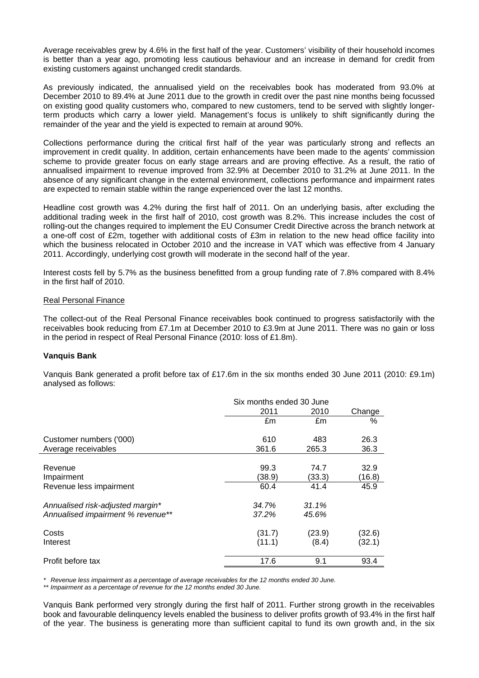Average receivables grew by 4.6% in the first half of the year. Customers' visibility of their household incomes is better than a year ago, promoting less cautious behaviour and an increase in demand for credit from existing customers against unchanged credit standards.

As previously indicated, the annualised yield on the receivables book has moderated from 93.0% at December 2010 to 89.4% at June 2011 due to the growth in credit over the past nine months being focussed on existing good quality customers who, compared to new customers, tend to be served with slightly longerterm products which carry a lower yield. Management's focus is unlikely to shift significantly during the remainder of the year and the yield is expected to remain at around 90%.

Collections performance during the critical first half of the year was particularly strong and reflects an improvement in credit quality. In addition, certain enhancements have been made to the agents' commission scheme to provide greater focus on early stage arrears and are proving effective. As a result, the ratio of annualised impairment to revenue improved from 32.9% at December 2010 to 31.2% at June 2011. In the absence of any significant change in the external environment, collections performance and impairment rates are expected to remain stable within the range experienced over the last 12 months.

Headline cost growth was 4.2% during the first half of 2011. On an underlying basis, after excluding the additional trading week in the first half of 2010, cost growth was 8.2%. This increase includes the cost of rolling-out the changes required to implement the EU Consumer Credit Directive across the branch network at a one-off cost of £2m, together with additional costs of £3m in relation to the new head office facility into which the business relocated in October 2010 and the increase in VAT which was effective from 4 January 2011. Accordingly, underlying cost growth will moderate in the second half of the year.

Interest costs fell by 5.7% as the business benefitted from a group funding rate of 7.8% compared with 8.4% in the first half of 2010.

## Real Personal Finance

The collect-out of the Real Personal Finance receivables book continued to progress satisfactorily with the receivables book reducing from £7.1m at December 2010 to £3.9m at June 2011. There was no gain or loss in the period in respect of Real Personal Finance (2010: loss of £1.8m).

## **Vanquis Bank**

Vanquis Bank generated a profit before tax of £17.6m in the six months ended 30 June 2011 (2010: £9.1m) analysed as follows:

|                                   | Six months ended 30 June |        |        |
|-----------------------------------|--------------------------|--------|--------|
|                                   | 2011                     | 2010   | Change |
|                                   | £m                       | £m     | %      |
| Customer numbers ('000)           | 610                      | 483    | 26.3   |
| Average receivables               | 361.6                    | 265.3  | 36.3   |
|                                   |                          |        |        |
| Revenue                           | 99.3                     | 74.7   | 32.9   |
| Impairment                        | (38.9)                   | (33.3) | (16.8) |
| Revenue less impairment           | 60.4                     | 41.4   | 45.9   |
| Annualised risk-adjusted margin*  | 34.7%                    | 31.1%  |        |
| Annualised impairment % revenue** | 37.2%                    | 45.6%  |        |
| Costs                             | (31.7)                   | (23.9) | (32.6) |
| Interest                          | (11.1)                   | (8.4)  | (32.1) |
| Profit before tax                 | 17.6                     | 9.1    | 93.4   |

*\* Revenue less impairment as a percentage of average receivables for the 12 months ended 30 June.* 

*\*\* Impairment as a percentage of revenue for the 12 months ended 30 June.* 

Vanquis Bank performed very strongly during the first half of 2011. Further strong growth in the receivables book and favourable delinquency levels enabled the business to deliver profits growth of 93.4% in the first half of the year. The business is generating more than sufficient capital to fund its own growth and, in the six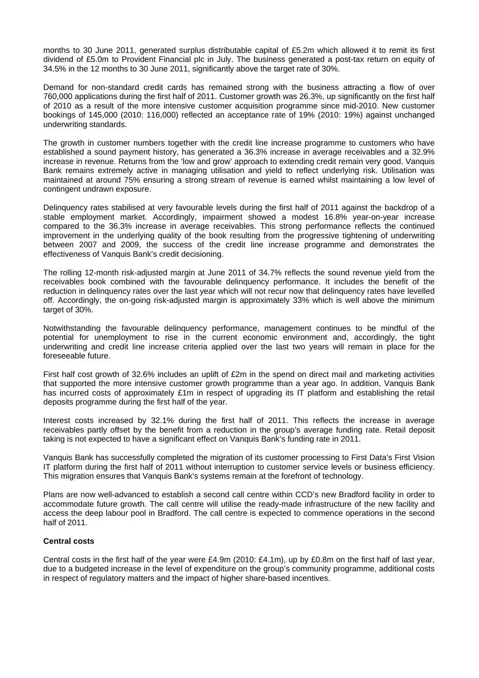months to 30 June 2011, generated surplus distributable capital of £5.2m which allowed it to remit its first dividend of £5.0m to Provident Financial plc in July. The business generated a post-tax return on equity of 34.5% in the 12 months to 30 June 2011, significantly above the target rate of 30%.

Demand for non-standard credit cards has remained strong with the business attracting a flow of over 760,000 applications during the first half of 2011. Customer growth was 26.3%, up significantly on the first half of 2010 as a result of the more intensive customer acquisition programme since mid-2010. New customer bookings of 145,000 (2010: 116,000) reflected an acceptance rate of 19% (2010: 19%) against unchanged underwriting standards.

The growth in customer numbers together with the credit line increase programme to customers who have established a sound payment history, has generated a 36.3% increase in average receivables and a 32.9% increase in revenue. Returns from the 'low and grow' approach to extending credit remain very good. Vanquis Bank remains extremely active in managing utilisation and yield to reflect underlying risk. Utilisation was maintained at around 75% ensuring a strong stream of revenue is earned whilst maintaining a low level of contingent undrawn exposure.

Delinquency rates stabilised at very favourable levels during the first half of 2011 against the backdrop of a stable employment market. Accordingly, impairment showed a modest 16.8% year-on-year increase compared to the 36.3% increase in average receivables. This strong performance reflects the continued improvement in the underlying quality of the book resulting from the progressive tightening of underwriting between 2007 and 2009, the success of the credit line increase programme and demonstrates the effectiveness of Vanquis Bank's credit decisioning.

The rolling 12-month risk-adjusted margin at June 2011 of 34.7% reflects the sound revenue yield from the receivables book combined with the favourable delinquency performance. It includes the benefit of the reduction in delinquency rates over the last year which will not recur now that delinquency rates have levelled off. Accordingly, the on-going risk-adjusted margin is approximately 33% which is well above the minimum target of 30%.

Notwithstanding the favourable delinquency performance, management continues to be mindful of the potential for unemployment to rise in the current economic environment and, accordingly, the tight underwriting and credit line increase criteria applied over the last two years will remain in place for the foreseeable future.

First half cost growth of 32.6% includes an uplift of £2m in the spend on direct mail and marketing activities that supported the more intensive customer growth programme than a year ago. In addition, Vanquis Bank has incurred costs of approximately £1m in respect of upgrading its IT platform and establishing the retail deposits programme during the first half of the year.

Interest costs increased by 32.1% during the first half of 2011. This reflects the increase in average receivables partly offset by the benefit from a reduction in the group's average funding rate. Retail deposit taking is not expected to have a significant effect on Vanquis Bank's funding rate in 2011.

Vanquis Bank has successfully completed the migration of its customer processing to First Data's First Vision IT platform during the first half of 2011 without interruption to customer service levels or business efficiency. This migration ensures that Vanquis Bank's systems remain at the forefront of technology.

Plans are now well-advanced to establish a second call centre within CCD's new Bradford facility in order to accommodate future growth. The call centre will utilise the ready-made infrastructure of the new facility and access the deep labour pool in Bradford. The call centre is expected to commence operations in the second half of 2011.

## **Central costs**

Central costs in the first half of the year were £4.9m (2010: £4.1m), up by £0.8m on the first half of last year, due to a budgeted increase in the level of expenditure on the group's community programme, additional costs in respect of regulatory matters and the impact of higher share-based incentives.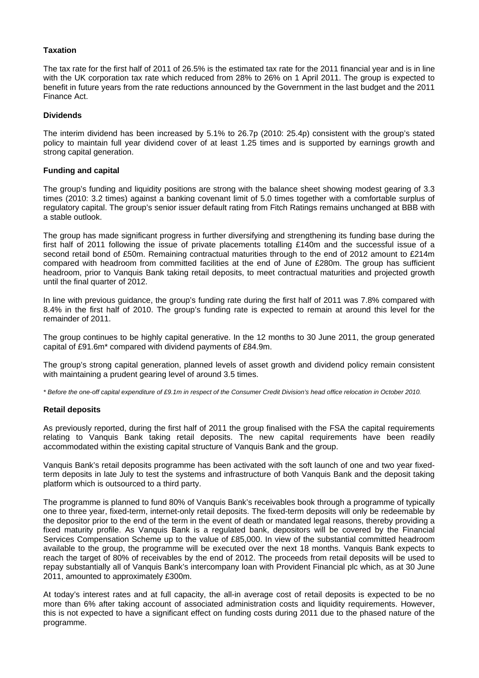# **Taxation**

The tax rate for the first half of 2011 of 26.5% is the estimated tax rate for the 2011 financial year and is in line with the UK corporation tax rate which reduced from 28% to 26% on 1 April 2011. The group is expected to benefit in future years from the rate reductions announced by the Government in the last budget and the 2011 Finance Act.

## **Dividends**

The interim dividend has been increased by 5.1% to 26.7p (2010: 25.4p) consistent with the group's stated policy to maintain full year dividend cover of at least 1.25 times and is supported by earnings growth and strong capital generation.

## **Funding and capital**

The group's funding and liquidity positions are strong with the balance sheet showing modest gearing of 3.3 times (2010: 3.2 times) against a banking covenant limit of 5.0 times together with a comfortable surplus of regulatory capital. The group's senior issuer default rating from Fitch Ratings remains unchanged at BBB with a stable outlook.

The group has made significant progress in further diversifying and strengthening its funding base during the first half of 2011 following the issue of private placements totalling £140m and the successful issue of a second retail bond of £50m. Remaining contractual maturities through to the end of 2012 amount to £214m compared with headroom from committed facilities at the end of June of £280m. The group has sufficient headroom, prior to Vanquis Bank taking retail deposits, to meet contractual maturities and projected growth until the final quarter of 2012.

In line with previous guidance, the group's funding rate during the first half of 2011 was 7.8% compared with 8.4% in the first half of 2010. The group's funding rate is expected to remain at around this level for the remainder of 2011.

The group continues to be highly capital generative. In the 12 months to 30 June 2011, the group generated capital of £91.6m\* compared with dividend payments of £84.9m.

The group's strong capital generation, planned levels of asset growth and dividend policy remain consistent with maintaining a prudent gearing level of around 3.5 times.

*\* Before the one-off capital expenditure of £9.1m in respect of the Consumer Credit Division's head office relocation in October 2010.* 

## **Retail deposits**

As previously reported, during the first half of 2011 the group finalised with the FSA the capital requirements relating to Vanquis Bank taking retail deposits. The new capital requirements have been readily accommodated within the existing capital structure of Vanquis Bank and the group.

Vanquis Bank's retail deposits programme has been activated with the soft launch of one and two year fixedterm deposits in late July to test the systems and infrastructure of both Vanquis Bank and the deposit taking platform which is outsourced to a third party.

The programme is planned to fund 80% of Vanquis Bank's receivables book through a programme of typically one to three year, fixed-term, internet-only retail deposits. The fixed-term deposits will only be redeemable by the depositor prior to the end of the term in the event of death or mandated legal reasons, thereby providing a fixed maturity profile. As Vanquis Bank is a regulated bank, depositors will be covered by the Financial Services Compensation Scheme up to the value of £85,000. In view of the substantial committed headroom available to the group, the programme will be executed over the next 18 months. Vanquis Bank expects to reach the target of 80% of receivables by the end of 2012. The proceeds from retail deposits will be used to repay substantially all of Vanquis Bank's intercompany loan with Provident Financial plc which, as at 30 June 2011, amounted to approximately £300m.

At today's interest rates and at full capacity, the all-in average cost of retail deposits is expected to be no more than 6% after taking account of associated administration costs and liquidity requirements. However, this is not expected to have a significant effect on funding costs during 2011 due to the phased nature of the programme.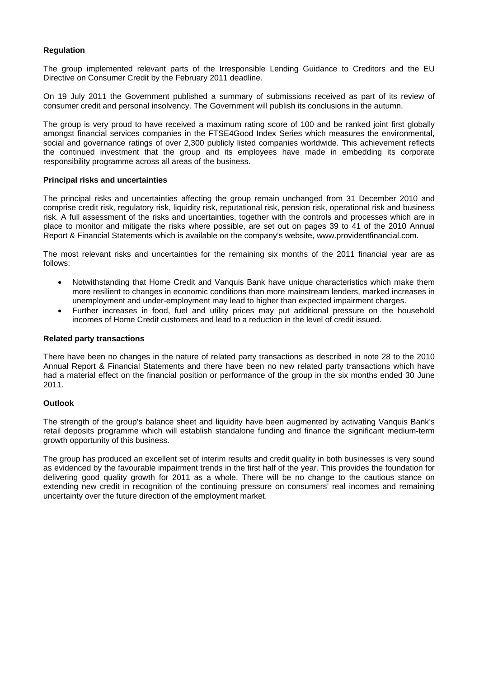# **Regulation**

The group implemented relevant parts of the Irresponsible Lending Guidance to Creditors and the EU Directive on Consumer Credit by the February 2011 deadline.

On 19 July 2011 the Government published a summary of submissions received as part of its review of consumer credit and personal insolvency. The Government will publish its conclusions in the autumn.

The group is very proud to have received a maximum rating score of 100 and be ranked joint first globally amongst financial services companies in the FTSE4Good Index Series which measures the environmental, social and governance ratings of over 2,300 publicly listed companies worldwide. This achievement reflects the continued investment that the group and its employees have made in embedding its corporate responsibility programme across all areas of the business.

## **Principal risks and uncertainties**

The principal risks and uncertainties affecting the group remain unchanged from 31 December 2010 and comprise credit risk, regulatory risk, liquidity risk, reputational risk, pension risk, operational risk and business risk. A full assessment of the risks and uncertainties, together with the controls and processes which are in place to monitor and mitigate the risks where possible, are set out on pages 39 to 41 of the 2010 Annual Report & Financial Statements which is available on the company's website, www.providentfinancial.com.

The most relevant risks and uncertainties for the remaining six months of the 2011 financial year are as follows:

- Notwithstanding that Home Credit and Vanquis Bank have unique characteristics which make them more resilient to changes in economic conditions than more mainstream lenders, marked increases in unemployment and under-employment may lead to higher than expected impairment charges.
- Further increases in food, fuel and utility prices may put additional pressure on the household incomes of Home Credit customers and lead to a reduction in the level of credit issued.

## **Related party transactions**

There have been no changes in the nature of related party transactions as described in note 28 to the 2010 Annual Report & Financial Statements and there have been no new related party transactions which have had a material effect on the financial position or performance of the group in the six months ended 30 June 2011.

## **Outlook**

The strength of the group's balance sheet and liquidity have been augmented by activating Vanquis Bank's retail deposits programme which will establish standalone funding and finance the significant medium-term growth opportunity of this business.

The group has produced an excellent set of interim results and credit quality in both businesses is very sound as evidenced by the favourable impairment trends in the first half of the year. This provides the foundation for delivering good quality growth for 2011 as a whole. There will be no change to the cautious stance on extending new credit in recognition of the continuing pressure on consumers' real incomes and remaining uncertainty over the future direction of the employment market.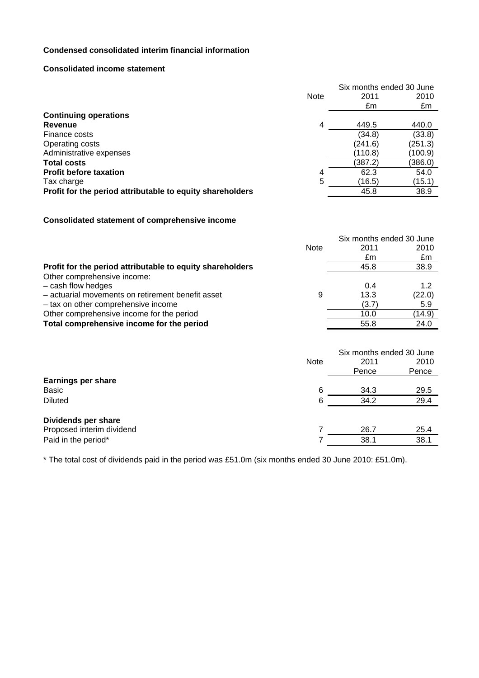# **Condensed consolidated interim financial information**

# **Consolidated income statement**

|                                                           |             | Six months ended 30 June |         |
|-----------------------------------------------------------|-------------|--------------------------|---------|
|                                                           | <b>Note</b> | 2011                     | 2010    |
|                                                           |             | £m                       | £m      |
| <b>Continuing operations</b>                              |             |                          |         |
| Revenue                                                   | 4           | 449.5                    | 440.0   |
| Finance costs                                             |             | (34.8)                   | (33.8)  |
| Operating costs                                           |             | (241.6)                  | (251.3) |
| Administrative expenses                                   |             | (110.8)                  | (100.9) |
| <b>Total costs</b>                                        |             | (387.2)                  | (386.0) |
| <b>Profit before taxation</b>                             | 4           | 62.3                     | 54.0    |
| Tax charge                                                | 5           | (16.5)                   | (15.1)  |
| Profit for the period attributable to equity shareholders |             | 45.8                     | 38.9    |
|                                                           |             |                          |         |

# **Consolidated statement of comprehensive income**

|                                                           | Six months ended 30 June |       |        |
|-----------------------------------------------------------|--------------------------|-------|--------|
|                                                           | <b>Note</b>              | 2011  | 2010   |
|                                                           |                          | £m    | £m     |
| Profit for the period attributable to equity shareholders |                          | 45.8  | 38.9   |
| Other comprehensive income:                               |                          |       |        |
| - cash flow hedges                                        |                          | 0.4   | 1.2    |
| - actuarial movements on retirement benefit asset         | 9                        | 13.3  | (22.0) |
| - tax on other comprehensive income                       |                          | (3.7) | 5.9    |
| Other comprehensive income for the period                 |                          | 10.0  | (14.9) |
| Total comprehensive income for the period                 |                          | 55.8  | 24.0   |
|                                                           |                          |       |        |

|                           |             | Six months ended 30 June |       |  |
|---------------------------|-------------|--------------------------|-------|--|
|                           | <b>Note</b> | 2011                     | 2010  |  |
|                           |             | Pence                    | Pence |  |
| <b>Earnings per share</b> |             |                          |       |  |
| Basic                     | 6           | 34.3                     | 29.5  |  |
| <b>Diluted</b>            | 6           | 34.2                     | 29.4  |  |
|                           |             |                          |       |  |
| Dividends per share       |             |                          |       |  |
| Proposed interim dividend |             | 26.7                     | 25.4  |  |
| Paid in the period*       |             | 38.1                     | 38.1  |  |
|                           |             |                          |       |  |

\* The total cost of dividends paid in the period was £51.0m (six months ended 30 June 2010: £51.0m).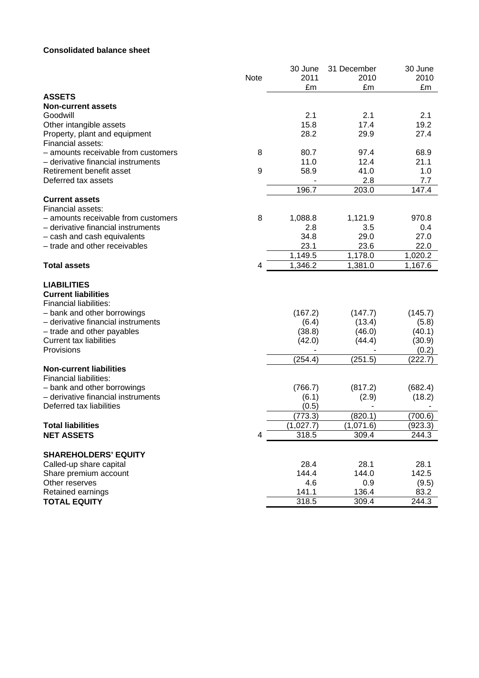# **Consolidated balance sheet**

|                                                                                                                                                                                                                                      | <b>Note</b> | 30 June<br>2011<br>£m                | 31 December<br>2010<br>£m             | 30 June<br>2010<br>£m                         |
|--------------------------------------------------------------------------------------------------------------------------------------------------------------------------------------------------------------------------------------|-------------|--------------------------------------|---------------------------------------|-----------------------------------------------|
| <b>ASSETS</b>                                                                                                                                                                                                                        |             |                                      |                                       |                                               |
| <b>Non-current assets</b>                                                                                                                                                                                                            |             |                                      |                                       |                                               |
| Goodwill                                                                                                                                                                                                                             |             | 2.1                                  | 2.1                                   | 2.1                                           |
| Other intangible assets                                                                                                                                                                                                              |             | 15.8                                 | 17.4                                  | 19.2                                          |
| Property, plant and equipment                                                                                                                                                                                                        |             | 28.2                                 | 29.9                                  | 27.4                                          |
| Financial assets:                                                                                                                                                                                                                    |             |                                      |                                       |                                               |
| - amounts receivable from customers                                                                                                                                                                                                  | 8           | 80.7                                 | 97.4                                  | 68.9                                          |
| - derivative financial instruments                                                                                                                                                                                                   |             | 11.0                                 | 12.4                                  | 21.1                                          |
| Retirement benefit asset                                                                                                                                                                                                             | 9           | 58.9                                 | 41.0                                  | 1.0                                           |
| Deferred tax assets                                                                                                                                                                                                                  |             | 196.7                                | 2.8<br>203.0                          | 7.7<br>147.4                                  |
| <b>Current assets</b>                                                                                                                                                                                                                |             |                                      |                                       |                                               |
| Financial assets:                                                                                                                                                                                                                    |             |                                      |                                       |                                               |
| - amounts receivable from customers                                                                                                                                                                                                  | 8           | 1,088.8                              | 1,121.9                               | 970.8                                         |
| - derivative financial instruments                                                                                                                                                                                                   |             | 2.8                                  | 3.5                                   | 0.4                                           |
| - cash and cash equivalents                                                                                                                                                                                                          |             | 34.8                                 | 29.0                                  | 27.0                                          |
| - trade and other receivables                                                                                                                                                                                                        |             | 23.1                                 | 23.6                                  | 22.0                                          |
|                                                                                                                                                                                                                                      |             | 1,149.5                              | 1,178.0                               | 1,020.2                                       |
| <b>Total assets</b>                                                                                                                                                                                                                  | 4           | 1,346.2                              | 1,381.0                               | 1,167.6                                       |
| <b>LIABILITIES</b><br><b>Current liabilities</b><br><b>Financial liabilities:</b><br>- bank and other borrowings<br>- derivative financial instruments<br>- trade and other payables<br><b>Current tax liabilities</b><br>Provisions |             | (167.2)<br>(6.4)<br>(38.8)<br>(42.0) | (147.7)<br>(13.4)<br>(46.0)<br>(44.4) | (145.7)<br>(5.8)<br>(40.1)<br>(30.9)<br>(0.2) |
|                                                                                                                                                                                                                                      |             | (254.4)                              | (251.5)                               | (222.7)                                       |
| <b>Non-current liabilities</b><br><b>Financial liabilities:</b>                                                                                                                                                                      |             |                                      |                                       |                                               |
| - bank and other borrowings                                                                                                                                                                                                          |             | (766.7)                              | (817.2)                               | (682.4)                                       |
| - derivative financial instruments                                                                                                                                                                                                   |             | (6.1)                                | (2.9)                                 | (18.2)                                        |
| Deferred tax liabilities                                                                                                                                                                                                             |             | (0.5)                                |                                       |                                               |
|                                                                                                                                                                                                                                      |             | (773.3)                              | (820.1)                               | (700.6)                                       |
| <b>Total liabilities</b><br><b>NET ASSETS</b>                                                                                                                                                                                        |             | (1,027.7)<br>318.5                   | (1,071.6)                             | (923.3)<br>244.3                              |
|                                                                                                                                                                                                                                      | 4           |                                      | 309.4                                 |                                               |
| <b>SHAREHOLDERS' EQUITY</b>                                                                                                                                                                                                          |             |                                      |                                       |                                               |
| Called-up share capital                                                                                                                                                                                                              |             | 28.4                                 | 28.1                                  | 28.1                                          |
| Share premium account                                                                                                                                                                                                                |             | 144.4                                | 144.0                                 | 142.5                                         |
| Other reserves                                                                                                                                                                                                                       |             | 4.6                                  | 0.9                                   | (9.5)                                         |
| Retained earnings<br><b>TOTAL EQUITY</b>                                                                                                                                                                                             |             | 141.1<br>318.5                       | 136.4<br>309.4                        | 83.2<br>244.3                                 |
|                                                                                                                                                                                                                                      |             |                                      |                                       |                                               |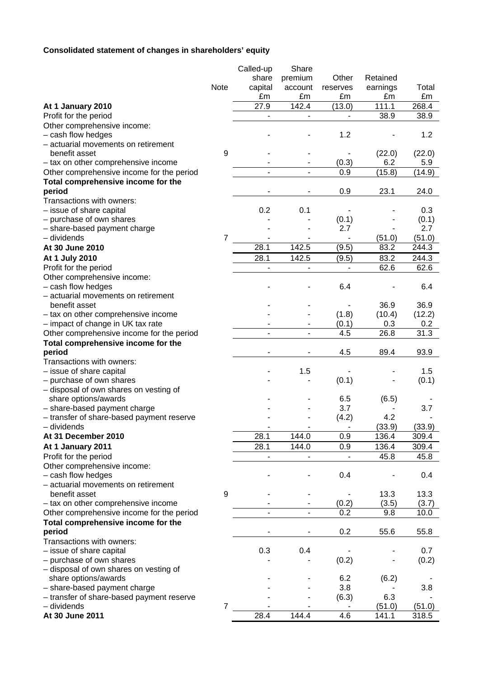# **Consolidated statement of changes in shareholders' equity**

|                                           | <b>Note</b>    | Called-up<br>share<br>capital | Share<br>premium<br>account<br>£m | Other<br>reserves<br>£m  | Retained<br>earnings | Total<br>£m |
|-------------------------------------------|----------------|-------------------------------|-----------------------------------|--------------------------|----------------------|-------------|
|                                           |                | £m                            |                                   |                          | £m                   |             |
| At 1 January 2010                         |                | 27.9                          | 142.4                             | (13.0)                   | 111.1                | 268.4       |
| Profit for the period                     |                | ÷                             | $\overline{\phantom{a}}$          | $\overline{\phantom{0}}$ | 38.9                 | 38.9        |
| Other comprehensive income:               |                |                               |                                   |                          |                      |             |
| - cash flow hedges                        |                |                               |                                   | 1.2                      |                      | 1.2         |
| - actuarial movements on retirement       |                |                               |                                   |                          |                      |             |
| benefit asset                             | 9              |                               |                                   |                          | (22.0)               | (22.0)      |
| - tax on other comprehensive income       |                |                               |                                   | (0.3)                    | 6.2                  | 5.9         |
| Other comprehensive income for the period |                | L,                            |                                   | 0.9                      | (15.8)               | (14.9)      |
| Total comprehensive income for the        |                |                               |                                   |                          |                      |             |
| period                                    |                |                               |                                   | 0.9                      | 23.1                 | 24.0        |
| Transactions with owners:                 |                |                               |                                   |                          |                      |             |
| - issue of share capital                  |                | 0.2                           | 0.1                               |                          |                      | 0.3         |
| - purchase of own shares                  |                |                               |                                   | (0.1)                    |                      | (0.1)       |
| - share-based payment charge              |                |                               |                                   | 2.7                      |                      | 2.7         |
| $-$ dividends                             | 7              |                               |                                   |                          | (51.0)               | (51.0)      |
| At 30 June 2010                           |                | 28.1                          | 142.5                             | (9.5)                    | 83.2                 | 244.3       |
| At 1 July 2010                            |                | 28.1                          | 142.5                             | (9.5)                    | 83.2                 | 244.3       |
| Profit for the period                     |                | ÷,                            |                                   |                          | 62.6                 | 62.6        |
| Other comprehensive income:               |                |                               |                                   |                          |                      |             |
| - cash flow hedges                        |                |                               |                                   | 6.4                      |                      | 6.4         |
| - actuarial movements on retirement       |                |                               |                                   |                          |                      |             |
| benefit asset                             |                |                               |                                   |                          | 36.9                 | 36.9        |
|                                           |                |                               |                                   |                          |                      |             |
| - tax on other comprehensive income       |                |                               |                                   | (1.8)                    | (10.4)               | (12.2)      |
| - impact of change in UK tax rate         |                |                               |                                   | (0.1)                    | 0.3                  | 0.2         |
| Other comprehensive income for the period |                | $\overline{a}$                | $\overline{\phantom{a}}$          | 4.5                      | 26.8                 | 31.3        |
| Total comprehensive income for the        |                |                               |                                   |                          |                      |             |
| period                                    |                | ٠                             |                                   | 4.5                      | 89.4                 | 93.9        |
| Transactions with owners:                 |                |                               |                                   |                          |                      |             |
| - issue of share capital                  |                |                               | 1.5                               |                          |                      | 1.5         |
| - purchase of own shares                  |                |                               |                                   | (0.1)                    |                      | (0.1)       |
| - disposal of own shares on vesting of    |                |                               |                                   |                          |                      |             |
| share options/awards                      |                |                               |                                   | 6.5                      | (6.5)                |             |
| - share-based payment charge              |                |                               |                                   | 3.7                      |                      | 3.7         |
| - transfer of share-based payment reserve |                |                               |                                   | (4.2)                    | 4.2                  |             |
| - dividends                               |                |                               |                                   |                          | (33.9)               | (33.9)      |
| At 31 December 2010                       |                | 28.1                          | 144.0                             | 0.9                      | 136.4                | 309.4       |
| At 1 January 2011                         |                | 28.1                          | 144.0                             | 0.9                      | 136.4                | 309.4       |
| Profit for the period                     |                |                               |                                   |                          | 45.8                 | 45.8        |
| Other comprehensive income:               |                |                               |                                   |                          |                      |             |
| - cash flow hedges                        |                |                               |                                   | 0.4                      |                      | 0.4         |
| - actuarial movements on retirement       |                |                               |                                   |                          |                      |             |
| benefit asset                             | $\mathsf g$    |                               |                                   |                          | 13.3                 | 13.3        |
| - tax on other comprehensive income       |                |                               |                                   | (0.2)                    | (3.5)                | (3.7)       |
| Other comprehensive income for the period |                | ÷,                            | ä,                                | 0.2                      | 9.8                  | 10.0        |
| Total comprehensive income for the        |                |                               |                                   |                          |                      |             |
|                                           |                |                               |                                   |                          |                      |             |
| period                                    |                |                               |                                   | 0.2                      | 55.6                 | 55.8        |
| Transactions with owners:                 |                |                               |                                   |                          |                      |             |
| - issue of share capital                  |                | 0.3                           | 0.4                               |                          |                      | 0.7         |
| - purchase of own shares                  |                |                               |                                   | (0.2)                    |                      | (0.2)       |
| - disposal of own shares on vesting of    |                |                               |                                   |                          |                      |             |
| share options/awards                      |                |                               |                                   | 6.2                      | (6.2)                |             |
| - share-based payment charge              |                |                               |                                   | 3.8                      |                      | 3.8         |
| - transfer of share-based payment reserve |                |                               |                                   | (6.3)                    | 6.3                  |             |
| - dividends                               | $\overline{7}$ |                               |                                   | $\overline{\phantom{a}}$ | (51.0)               | (51.0)      |
| At 30 June 2011                           |                | 28.4                          | 144.4                             | 4.6                      | 141.1                | 318.5       |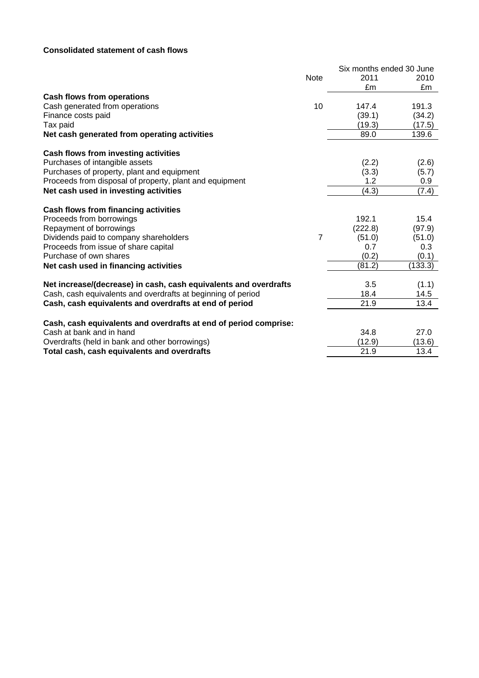# **Consolidated statement of cash flows**

|                                                                  |                | Six months ended 30 June |         |
|------------------------------------------------------------------|----------------|--------------------------|---------|
|                                                                  | Note           | 2011                     | 2010    |
|                                                                  |                | £m                       | £m      |
| <b>Cash flows from operations</b>                                |                |                          |         |
| Cash generated from operations                                   | 10             | 147.4                    | 191.3   |
| Finance costs paid                                               |                | (39.1)                   | (34.2)  |
| Tax paid                                                         |                | (19.3)                   | (17.5)  |
| Net cash generated from operating activities                     |                | 89.0                     | 139.6   |
| Cash flows from investing activities                             |                |                          |         |
| Purchases of intangible assets                                   |                | (2.2)                    | (2.6)   |
| Purchases of property, plant and equipment                       |                | (3.3)                    | (5.7)   |
| Proceeds from disposal of property, plant and equipment          |                | 1.2                      | 0.9     |
| Net cash used in investing activities                            |                | (4.3)                    | (7.4)   |
|                                                                  |                |                          |         |
| <b>Cash flows from financing activities</b>                      |                |                          |         |
| Proceeds from borrowings                                         |                | 192.1                    | 15.4    |
| Repayment of borrowings                                          |                | (222.8)                  | (97.9)  |
| Dividends paid to company shareholders                           | $\overline{7}$ | (51.0)                   | (51.0)  |
| Proceeds from issue of share capital                             |                | 0.7                      | 0.3     |
| Purchase of own shares                                           |                | (0.2)                    | (0.1)   |
| Net cash used in financing activities                            |                | (81.2)                   | (133.3) |
| Net increase/(decrease) in cash, cash equivalents and overdrafts |                | 3.5                      | (1.1)   |
| Cash, cash equivalents and overdrafts at beginning of period     |                | 18.4                     | 14.5    |
| Cash, cash equivalents and overdrafts at end of period           |                | 21.9                     | 13.4    |
|                                                                  |                |                          |         |
| Cash, cash equivalents and overdrafts at end of period comprise: |                |                          |         |
| Cash at bank and in hand                                         |                | 34.8                     | 27.0    |
| Overdrafts (held in bank and other borrowings)                   |                | (12.9)                   | (13.6)  |
| Total cash, cash equivalents and overdrafts                      |                | 21.9                     | 13.4    |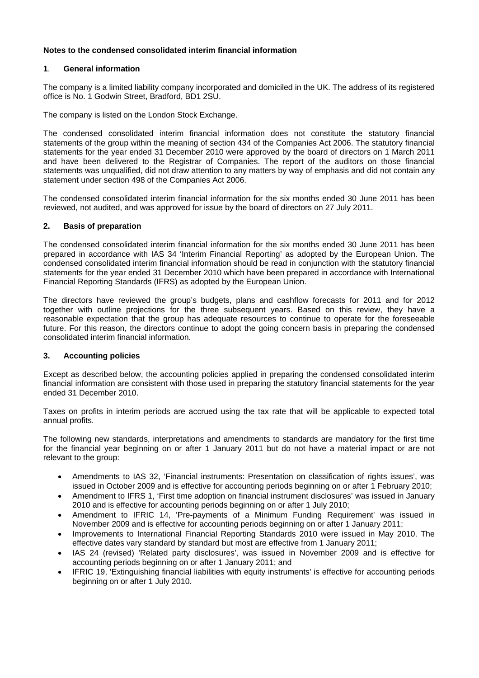# **Notes to the condensed consolidated interim financial information**

## **1**. **General information**

The company is a limited liability company incorporated and domiciled in the UK. The address of its registered office is No. 1 Godwin Street, Bradford, BD1 2SU.

The company is listed on the London Stock Exchange.

The condensed consolidated interim financial information does not constitute the statutory financial statements of the group within the meaning of section 434 of the Companies Act 2006. The statutory financial statements for the year ended 31 December 2010 were approved by the board of directors on 1 March 2011 and have been delivered to the Registrar of Companies. The report of the auditors on those financial statements was unqualified, did not draw attention to any matters by way of emphasis and did not contain any statement under section 498 of the Companies Act 2006.

The condensed consolidated interim financial information for the six months ended 30 June 2011 has been reviewed, not audited, and was approved for issue by the board of directors on 27 July 2011.

# **2. Basis of preparation**

The condensed consolidated interim financial information for the six months ended 30 June 2011 has been prepared in accordance with IAS 34 'Interim Financial Reporting' as adopted by the European Union. The condensed consolidated interim financial information should be read in conjunction with the statutory financial statements for the year ended 31 December 2010 which have been prepared in accordance with International Financial Reporting Standards (IFRS) as adopted by the European Union.

The directors have reviewed the group's budgets, plans and cashflow forecasts for 2011 and for 2012 together with outline projections for the three subsequent years. Based on this review, they have a reasonable expectation that the group has adequate resources to continue to operate for the foreseeable future. For this reason, the directors continue to adopt the going concern basis in preparing the condensed consolidated interim financial information.

# **3. Accounting policies**

Except as described below, the accounting policies applied in preparing the condensed consolidated interim financial information are consistent with those used in preparing the statutory financial statements for the year ended 31 December 2010.

Taxes on profits in interim periods are accrued using the tax rate that will be applicable to expected total annual profits.

The following new standards, interpretations and amendments to standards are mandatory for the first time for the financial year beginning on or after 1 January 2011 but do not have a material impact or are not relevant to the group:

- Amendments to IAS 32, 'Financial instruments: Presentation on classification of rights issues', was issued in October 2009 and is effective for accounting periods beginning on or after 1 February 2010;
- Amendment to IFRS 1, 'First time adoption on financial instrument disclosures' was issued in January 2010 and is effective for accounting periods beginning on or after 1 July 2010;
- Amendment to IFRIC 14, 'Pre-payments of a Minimum Funding Requirement' was issued in November 2009 and is effective for accounting periods beginning on or after 1 January 2011;
- Improvements to International Financial Reporting Standards 2010 were issued in May 2010. The effective dates vary standard by standard but most are effective from 1 January 2011;
- IAS 24 (revised) 'Related party disclosures', was issued in November 2009 and is effective for accounting periods beginning on or after 1 January 2011; and
- IFRIC 19, 'Extinguishing financial liabilities with equity instruments' is effective for accounting periods beginning on or after 1 July 2010.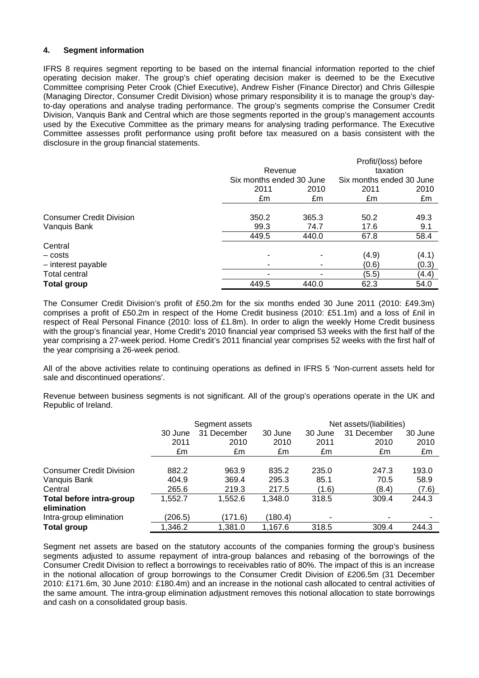## **4. Segment information**

IFRS 8 requires segment reporting to be based on the internal financial information reported to the chief operating decision maker. The group's chief operating decision maker is deemed to be the Executive Committee comprising Peter Crook (Chief Executive), Andrew Fisher (Finance Director) and Chris Gillespie (Managing Director, Consumer Credit Division) whose primary responsibility it is to manage the group's dayto-day operations and analyse trading performance. The group's segments comprise the Consumer Credit Division, Vanquis Bank and Central which are those segments reported in the group's management accounts used by the Executive Committee as the primary means for analysing trading performance. The Executive Committee assesses profit performance using profit before tax measured on a basis consistent with the disclosure in the group financial statements.

|                          |                          |       | Profit/(loss) before                 |       |
|--------------------------|--------------------------|-------|--------------------------------------|-------|
|                          | Revenue                  |       | taxation<br>Six months ended 30 June |       |
|                          | Six months ended 30 June |       |                                      |       |
|                          | 2011                     | 2010  | 2011                                 | 2010  |
|                          | £m                       | £m    | £m                                   | £m    |
|                          |                          |       |                                      |       |
| Consumer Credit Division | 350.2                    | 365.3 | 50.2                                 | 49.3  |
| Vanquis Bank             | 99.3                     | 74.7  | 17.6                                 | 9.1   |
|                          | 449.5                    | 440.0 | 67.8                                 | 58.4  |
| Central                  |                          |       |                                      |       |
| – costs                  | ۰                        |       | (4.9)                                | (4.1) |
| - interest payable       | ۰                        |       | (0.6)                                | (0.3) |
| Total central            |                          |       | (5.5)                                | (4.4) |
| Total group              | 449.5                    | 440.0 | 62.3                                 | 54.0  |

The Consumer Credit Division's profit of £50.2m for the six months ended 30 June 2011 (2010: £49.3m) comprises a profit of £50.2m in respect of the Home Credit business (2010: £51.1m) and a loss of £nil in respect of Real Personal Finance (2010: loss of £1.8m). In order to align the weekly Home Credit business with the group's financial year, Home Credit's 2010 financial year comprised 53 weeks with the first half of the year comprising a 27-week period. Home Credit's 2011 financial year comprises 52 weeks with the first half of the year comprising a 26-week period.

All of the above activities relate to continuing operations as defined in IFRS 5 'Non-current assets held for sale and discontinued operations'.

Revenue between business segments is not significant. All of the group's operations operate in the UK and Republic of Ireland.

|                                         |         | Segment assets |         |         | Net assets/(liabilities) |         |
|-----------------------------------------|---------|----------------|---------|---------|--------------------------|---------|
|                                         | 30 June | 31 December    | 30 June | 30 June | 31 December              | 30 June |
|                                         | 2011    | 2010           | 2010    | 2011    | 2010                     | 2010    |
|                                         | £m      | £m             | £m      | £m      | £m                       | £m      |
|                                         |         |                |         |         |                          |         |
| <b>Consumer Credit Division</b>         | 882.2   | 963.9          | 835.2   | 235.0   | 247.3                    | 193.0   |
| Vanquis Bank                            | 404.9   | 369.4          | 295.3   | 85.1    | 70.5                     | 58.9    |
| Central                                 | 265.6   | 219.3          | 217.5   | (1.6)   | (8.4)                    | (7.6)   |
| Total before intra-group<br>elimination | 1,552.7 | 1,552.6        | 1,348.0 | 318.5   | 309.4                    | 244.3   |
| Intra-group elimination                 | (206.5) | (171.6)        | (180.4) | ۰       | -                        |         |
| <b>Total group</b>                      | 1,346.2 | 1,381.0        | 1,167.6 | 318.5   | 309.4                    | 244.3   |

Segment net assets are based on the statutory accounts of the companies forming the group's business segments adjusted to assume repayment of intra-group balances and rebasing of the borrowings of the Consumer Credit Division to reflect a borrowings to receivables ratio of 80%. The impact of this is an increase in the notional allocation of group borrowings to the Consumer Credit Division of £206.5m (31 December 2010: £171.6m, 30 June 2010: £180.4m) and an increase in the notional cash allocated to central activities of the same amount. The intra-group elimination adjustment removes this notional allocation to state borrowings and cash on a consolidated group basis.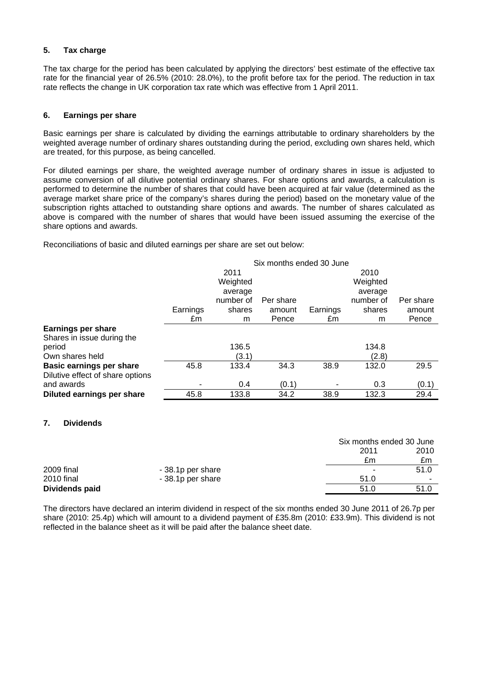# **5. Tax charge**

The tax charge for the period has been calculated by applying the directors' best estimate of the effective tax rate for the financial year of 26.5% (2010: 28.0%), to the profit before tax for the period. The reduction in tax rate reflects the change in UK corporation tax rate which was effective from 1 April 2011.

# **6. Earnings per share**

Basic earnings per share is calculated by dividing the earnings attributable to ordinary shareholders by the weighted average number of ordinary shares outstanding during the period, excluding own shares held, which are treated, for this purpose, as being cancelled.

For diluted earnings per share, the weighted average number of ordinary shares in issue is adjusted to assume conversion of all dilutive potential ordinary shares. For share options and awards, a calculation is performed to determine the number of shares that could have been acquired at fair value (determined as the average market share price of the company's shares during the period) based on the monetary value of the subscription rights attached to outstanding share options and awards. The number of shares calculated as above is compared with the number of shares that would have been issued assuming the exercise of the share options and awards.

Reconciliations of basic and diluted earnings per share are set out below:

|                                  | Six months ended 30 June |           |           |          |           |           |
|----------------------------------|--------------------------|-----------|-----------|----------|-----------|-----------|
|                                  |                          | 2011      |           |          | 2010      |           |
|                                  |                          | Weighted  |           |          | Weighted  |           |
|                                  |                          | average   |           |          | average   |           |
|                                  |                          | number of | Per share |          | number of | Per share |
|                                  | Earnings                 | shares    | amount    | Earnings | shares    | amount    |
|                                  | £m                       | m         | Pence     | £m       | m         | Pence     |
| <b>Earnings per share</b>        |                          |           |           |          |           |           |
| Shares in issue during the       |                          |           |           |          |           |           |
| period                           |                          | 136.5     |           |          | 134.8     |           |
| Own shares held                  |                          | (3.1)     |           |          | (2.8)     |           |
| Basic earnings per share         | 45.8                     | 133.4     | 34.3      | 38.9     | 132.0     | 29.5      |
| Dilutive effect of share options |                          |           |           |          |           |           |
| and awards                       |                          | 0.4       | (0.1)     |          | 0.3       | (0.1)     |
| Diluted earnings per share       | 45.8                     | 133.8     | 34.2      | 38.9     | 132.3     | 29.4      |

## **7. Dividends**

|                |                   | Six months ended 30 June |      |
|----------------|-------------------|--------------------------|------|
|                |                   | 2011                     | 2010 |
|                |                   | £m                       | £m   |
| 2009 final     | - 38.1p per share | $\overline{\phantom{a}}$ | 51.0 |
| 2010 final     | - 38.1p per share | 51.0                     | ۰    |
| Dividends paid |                   | 51.0                     | 51.0 |

The directors have declared an interim dividend in respect of the six months ended 30 June 2011 of 26.7p per share (2010: 25.4p) which will amount to a dividend payment of £35.8m (2010: £33.9m). This dividend is not reflected in the balance sheet as it will be paid after the balance sheet date.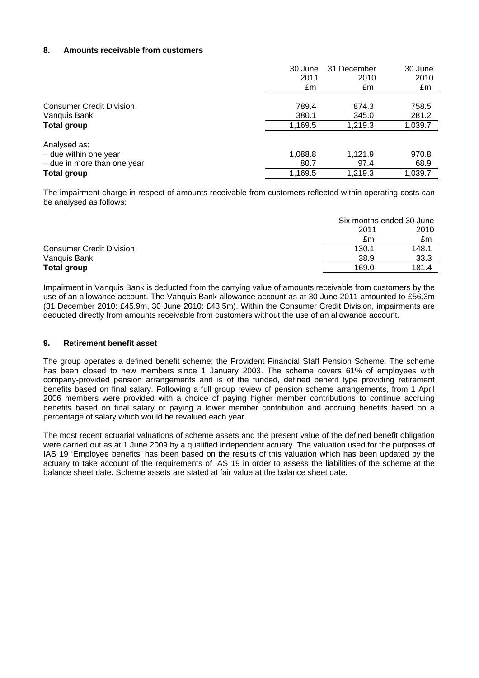# **8. Amounts receivable from customers**

|                                 | 30 June | 31 December | 30 June |
|---------------------------------|---------|-------------|---------|
|                                 | 2011    | 2010        | 2010    |
|                                 | £m      | £m          | £m      |
|                                 |         |             |         |
| <b>Consumer Credit Division</b> | 789.4   | 874.3       | 758.5   |
| Vanquis Bank                    | 380.1   | 345.0       | 281.2   |
| <b>Total group</b>              | 1,169.5 | 1,219.3     | 1,039.7 |
| Analysed as:                    |         |             |         |
| - due within one year           | 1,088.8 | 1,121.9     | 970.8   |
| - due in more than one year     | 80.7    | 97.4        | 68.9    |
| <b>Total group</b>              | 1,169.5 | 1,219.3     | 1,039.7 |

The impairment charge in respect of amounts receivable from customers reflected within operating costs can be analysed as follows:

|                                 |       | Six months ended 30 June |  |
|---------------------------------|-------|--------------------------|--|
|                                 | 2011  | 2010                     |  |
|                                 | £m    | £m                       |  |
| <b>Consumer Credit Division</b> | 130.1 | 148.1                    |  |
| Vanquis Bank                    | 38.9  | 33.3                     |  |
| <b>Total group</b>              | 169.0 | 181.4                    |  |

Impairment in Vanquis Bank is deducted from the carrying value of amounts receivable from customers by the use of an allowance account. The Vanquis Bank allowance account as at 30 June 2011 amounted to £56.3m (31 December 2010: £45.9m, 30 June 2010: £43.5m). Within the Consumer Credit Division, impairments are deducted directly from amounts receivable from customers without the use of an allowance account.

# **9. Retirement benefit asset**

The group operates a defined benefit scheme; the Provident Financial Staff Pension Scheme. The scheme has been closed to new members since 1 January 2003. The scheme covers 61% of employees with company-provided pension arrangements and is of the funded, defined benefit type providing retirement benefits based on final salary. Following a full group review of pension scheme arrangements, from 1 April 2006 members were provided with a choice of paying higher member contributions to continue accruing benefits based on final salary or paying a lower member contribution and accruing benefits based on a percentage of salary which would be revalued each year.

The most recent actuarial valuations of scheme assets and the present value of the defined benefit obligation were carried out as at 1 June 2009 by a qualified independent actuary. The valuation used for the purposes of IAS 19 'Employee benefits' has been based on the results of this valuation which has been updated by the actuary to take account of the requirements of IAS 19 in order to assess the liabilities of the scheme at the balance sheet date. Scheme assets are stated at fair value at the balance sheet date.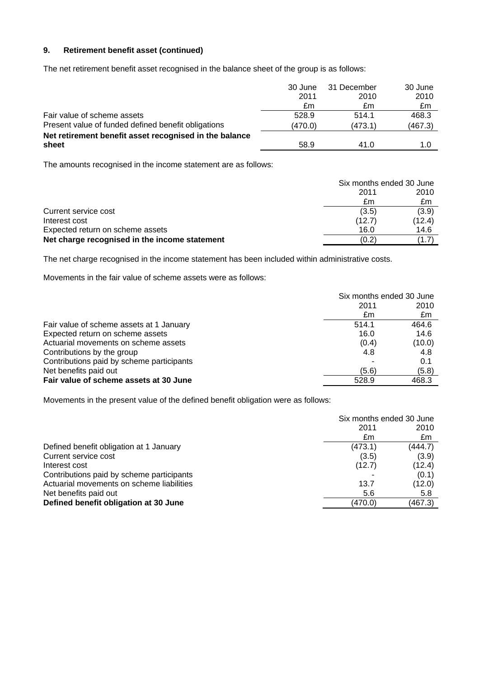# **9. Retirement benefit asset (continued)**

The net retirement benefit asset recognised in the balance sheet of the group is as follows:

|                                                        | 30 June | 31 December | 30 June     |
|--------------------------------------------------------|---------|-------------|-------------|
|                                                        | 2011    | 2010        | 2010        |
|                                                        | £m      | £m          | £m          |
| Fair value of scheme assets                            | 528.9   | 514.1       | 468.3       |
| Present value of funded defined benefit obligations    | (470.0) | (473.1)     | (467.3)     |
| Net retirement benefit asset recognised in the balance |         |             |             |
| sheet                                                  | 58.9    | 41.0        | 1. $\Omega$ |

The amounts recognised in the income statement are as follows:

|                                               |        | Six months ended 30 June |
|-----------------------------------------------|--------|--------------------------|
|                                               | 2011   | 2010                     |
|                                               | £m     | £m                       |
| Current service cost                          | (3.5)  | (3.9)                    |
| Interest cost                                 | (12.7) | (12.4)                   |
| Expected return on scheme assets              | 16.0   | 14.6                     |
| Net charge recognised in the income statement | (0.2)  |                          |

The net charge recognised in the income statement has been included within administrative costs.

Movements in the fair value of scheme assets were as follows:

| Six months ended 30 June |        |
|--------------------------|--------|
| 2011                     | 2010   |
| £m                       | £m     |
| 514.1                    | 464.6  |
| 16.0                     | 14.6   |
| (0.4)                    | (10.0) |
| 4.8                      | 4.8    |
|                          | 0.1    |
| (5.6)                    | (5.8)  |
| 528.9                    | 468.3  |
|                          |        |

Movements in the present value of the defined benefit obligation were as follows:

|                                           | Six months ended 30 June |         |
|-------------------------------------------|--------------------------|---------|
|                                           | 2011                     | 2010    |
|                                           | £m                       | £m      |
| Defined benefit obligation at 1 January   | (473.1)                  | (444.7) |
| Current service cost                      | (3.5)                    | (3.9)   |
| Interest cost                             | (12.7)                   | (12.4)  |
| Contributions paid by scheme participants |                          | (0.1)   |
| Actuarial movements on scheme liabilities | 13.7                     | (12.0)  |
| Net benefits paid out                     | 5.6                      | 5.8     |
| Defined benefit obligation at 30 June     | (470.0)                  | (467.3) |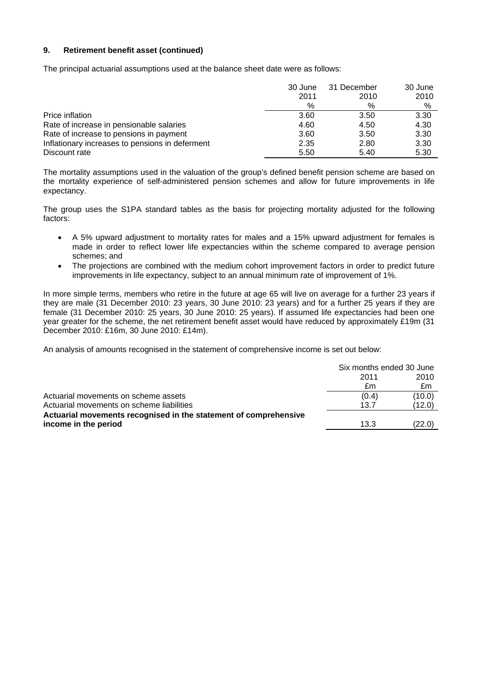# **9. Retirement benefit asset (continued)**

The principal actuarial assumptions used at the balance sheet date were as follows:

|                                                 | 30 June | 31 December | 30 June |
|-------------------------------------------------|---------|-------------|---------|
|                                                 | 2011    | 2010        | 2010    |
|                                                 | %       | %           | %       |
| Price inflation                                 | 3.60    | 3.50        | 3.30    |
| Rate of increase in pensionable salaries        | 4.60    | 4.50        | 4.30    |
| Rate of increase to pensions in payment         | 3.60    | 3.50        | 3.30    |
| Inflationary increases to pensions in deferment | 2.35    | 2.80        | 3.30    |
| Discount rate                                   | 5.50    | 5.40        | 5.30    |

The mortality assumptions used in the valuation of the group's defined benefit pension scheme are based on the mortality experience of self-administered pension schemes and allow for future improvements in life expectancy.

The group uses the S1PA standard tables as the basis for projecting mortality adjusted for the following factors:

- A 5% upward adjustment to mortality rates for males and a 15% upward adjustment for females is made in order to reflect lower life expectancies within the scheme compared to average pension schemes; and
- The projections are combined with the medium cohort improvement factors in order to predict future improvements in life expectancy, subject to an annual minimum rate of improvement of 1%.

In more simple terms, members who retire in the future at age 65 will live on average for a further 23 years if they are male (31 December 2010: 23 years, 30 June 2010: 23 years) and for a further 25 years if they are female (31 December 2010: 25 years, 30 June 2010: 25 years). If assumed life expectancies had been one year greater for the scheme, the net retirement benefit asset would have reduced by approximately £19m (31 December 2010: £16m, 30 June 2010: £14m).

An analysis of amounts recognised in the statement of comprehensive income is set out below:

|                                                                  |       | Six months ended 30 June |
|------------------------------------------------------------------|-------|--------------------------|
|                                                                  | 2011  | 2010                     |
|                                                                  | £m    | £m                       |
| Actuarial movements on scheme assets                             | (0.4) | (10.0)                   |
| Actuarial movements on scheme liabilities                        | 13.7  | (12.0)                   |
| Actuarial movements recognised in the statement of comprehensive |       |                          |
| income in the period                                             | 13.3  | (22.0)                   |
|                                                                  |       |                          |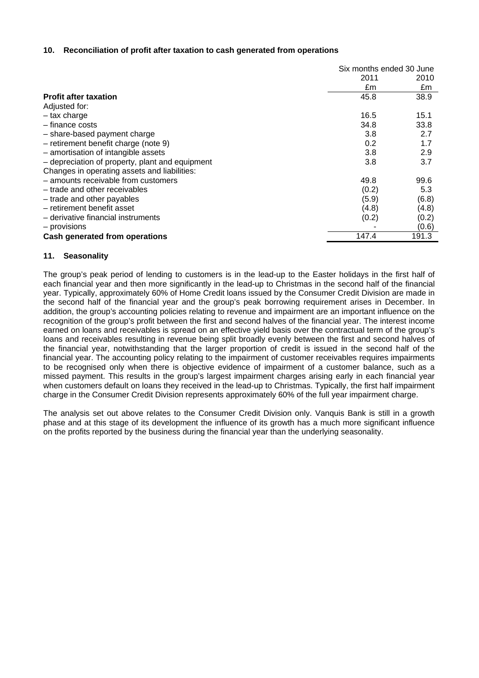# **10. Reconciliation of profit after taxation to cash generated from operations**

|                                                 | Six months ended 30 June |       |
|-------------------------------------------------|--------------------------|-------|
|                                                 | 2011                     | 2010  |
|                                                 | £m                       | £m    |
| <b>Profit after taxation</b>                    | 45.8                     | 38.9  |
| Adjusted for:                                   |                          |       |
| $-$ tax charge                                  | 16.5                     | 15.1  |
| - finance costs                                 | 34.8                     | 33.8  |
| - share-based payment charge                    | 3.8                      | 2.7   |
| $-$ retirement benefit charge (note 9)          | 0.2                      | 1.7   |
| - amortisation of intangible assets             | 3.8                      | 2.9   |
| - depreciation of property, plant and equipment | 3.8                      | 3.7   |
| Changes in operating assets and liabilities:    |                          |       |
| - amounts receivable from customers             | 49.8                     | 99.6  |
| - trade and other receivables                   | (0.2)                    | 5.3   |
| - trade and other payables                      | (5.9)                    | (6.8) |
| - retirement benefit asset                      | (4.8)                    | (4.8) |
| - derivative financial instruments              | (0.2)                    | (0.2) |
| - provisions                                    |                          | (0.6) |
| Cash generated from operations                  | 147.4                    | 191.3 |

# **11. Seasonality**

The group's peak period of lending to customers is in the lead-up to the Easter holidays in the first half of each financial year and then more significantly in the lead-up to Christmas in the second half of the financial year. Typically, approximately 60% of Home Credit loans issued by the Consumer Credit Division are made in the second half of the financial year and the group's peak borrowing requirement arises in December. In addition, the group's accounting policies relating to revenue and impairment are an important influence on the recognition of the group's profit between the first and second halves of the financial year. The interest income earned on loans and receivables is spread on an effective yield basis over the contractual term of the group's loans and receivables resulting in revenue being split broadly evenly between the first and second halves of the financial year, notwithstanding that the larger proportion of credit is issued in the second half of the financial year. The accounting policy relating to the impairment of customer receivables requires impairments to be recognised only when there is objective evidence of impairment of a customer balance, such as a missed payment. This results in the group's largest impairment charges arising early in each financial year when customers default on loans they received in the lead-up to Christmas. Typically, the first half impairment charge in the Consumer Credit Division represents approximately 60% of the full year impairment charge.

The analysis set out above relates to the Consumer Credit Division only. Vanquis Bank is still in a growth phase and at this stage of its development the influence of its growth has a much more significant influence on the profits reported by the business during the financial year than the underlying seasonality.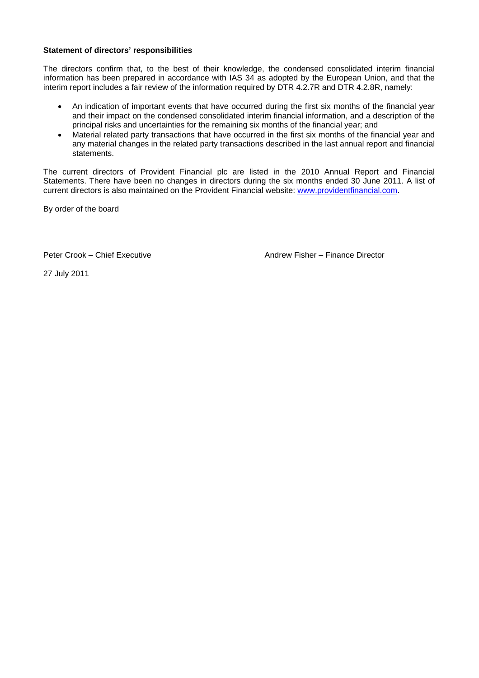# **Statement of directors' responsibilities**

The directors confirm that, to the best of their knowledge, the condensed consolidated interim financial information has been prepared in accordance with IAS 34 as adopted by the European Union, and that the interim report includes a fair review of the information required by DTR 4.2.7R and DTR 4.2.8R, namely:

- An indication of important events that have occurred during the first six months of the financial year and their impact on the condensed consolidated interim financial information, and a description of the principal risks and uncertainties for the remaining six months of the financial year; and
- Material related party transactions that have occurred in the first six months of the financial year and any material changes in the related party transactions described in the last annual report and financial statements.

The current directors of Provident Financial plc are listed in the 2010 Annual Report and Financial Statements. There have been no changes in directors during the six months ended 30 June 2011. A list of current directors is also maintained on the Provident Financial website: www.providentfinancial.com.

By order of the board

Peter Crook – Chief Executive Andrew Fisher – Finance Director

27 July 2011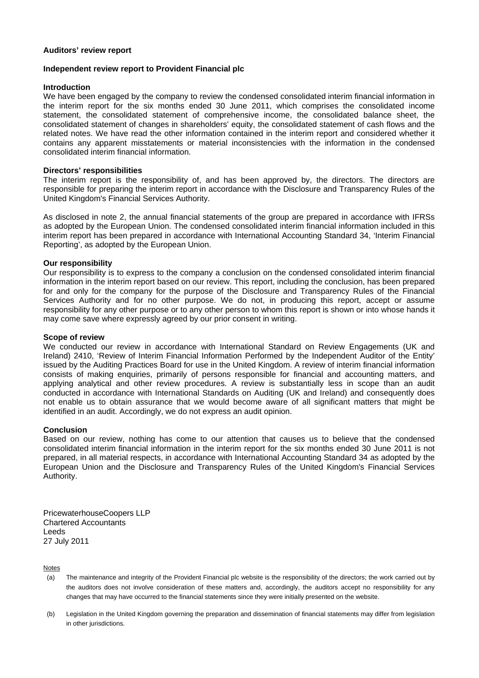## **Auditors' review report**

## **Independent review report to Provident Financial plc**

## **Introduction**

We have been engaged by the company to review the condensed consolidated interim financial information in the interim report for the six months ended 30 June 2011, which comprises the consolidated income statement, the consolidated statement of comprehensive income, the consolidated balance sheet, the consolidated statement of changes in shareholders' equity, the consolidated statement of cash flows and the related notes. We have read the other information contained in the interim report and considered whether it contains any apparent misstatements or material inconsistencies with the information in the condensed consolidated interim financial information.

# **Directors' responsibilities**

The interim report is the responsibility of, and has been approved by, the directors. The directors are responsible for preparing the interim report in accordance with the Disclosure and Transparency Rules of the United Kingdom's Financial Services Authority.

As disclosed in note 2, the annual financial statements of the group are prepared in accordance with IFRSs as adopted by the European Union. The condensed consolidated interim financial information included in this interim report has been prepared in accordance with International Accounting Standard 34, 'Interim Financial Reporting', as adopted by the European Union.

## **Our responsibility**

Our responsibility is to express to the company a conclusion on the condensed consolidated interim financial information in the interim report based on our review. This report, including the conclusion, has been prepared for and only for the company for the purpose of the Disclosure and Transparency Rules of the Financial Services Authority and for no other purpose. We do not, in producing this report, accept or assume responsibility for any other purpose or to any other person to whom this report is shown or into whose hands it may come save where expressly agreed by our prior consent in writing.

### **Scope of review**

We conducted our review in accordance with International Standard on Review Engagements (UK and Ireland) 2410, 'Review of Interim Financial Information Performed by the Independent Auditor of the Entity' issued by the Auditing Practices Board for use in the United Kingdom. A review of interim financial information consists of making enquiries, primarily of persons responsible for financial and accounting matters, and applying analytical and other review procedures. A review is substantially less in scope than an audit conducted in accordance with International Standards on Auditing (UK and Ireland) and consequently does not enable us to obtain assurance that we would become aware of all significant matters that might be identified in an audit. Accordingly, we do not express an audit opinion.

### **Conclusion**

Based on our review, nothing has come to our attention that causes us to believe that the condensed consolidated interim financial information in the interim report for the six months ended 30 June 2011 is not prepared, in all material respects, in accordance with International Accounting Standard 34 as adopted by the European Union and the Disclosure and Transparency Rules of the United Kingdom's Financial Services Authority.

PricewaterhouseCoopers LLP Chartered Accountants Leeds 27 July 2011

Notes

- (a) The maintenance and integrity of the Provident Financial plc website is the responsibility of the directors; the work carried out by the auditors does not involve consideration of these matters and, accordingly, the auditors accept no responsibility for any changes that may have occurred to the financial statements since they were initially presented on the website.
- (b) Legislation in the United Kingdom governing the preparation and dissemination of financial statements may differ from legislation in other jurisdictions.